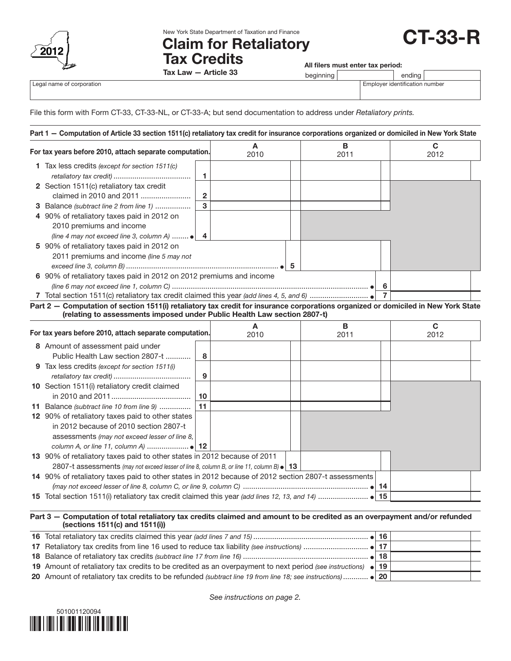

New York State Department of Taxation and Finance

# Claim for Retaliatory Tax Credits

All filers must enter tax period:<br>beginning and in the ending

CT-33-R

|                           | Article 33<br>1ax<br>.aw<br>. | peamnino | endina                     |        |
|---------------------------|-------------------------------|----------|----------------------------|--------|
| Legal name of corporation |                               |          | Emplover identification nu | าumber |

Tax Law — Article 33

File this form with Form CT-33, CT-33-NL, or CT-33-A; but send documentation to address under *Retaliatory prints.*

| For tax years before 2010, attach separate computation.             |   | A<br>2010 | В<br>2011 |                | C<br>2012 |
|---------------------------------------------------------------------|---|-----------|-----------|----------------|-----------|
| <b>1</b> Tax less credits (except for section 1511(c)               |   |           |           |                |           |
|                                                                     |   |           |           |                |           |
| 2 Section 1511(c) retaliatory tax credit                            |   |           |           |                |           |
| claimed in 2010 and 2011                                            | 2 |           |           |                |           |
| <b>3</b> Balance (subtract line 2 from line 1)                      | 3 |           |           |                |           |
| 4 90% of retaliatory taxes paid in 2012 on                          |   |           |           |                |           |
| 2010 premiums and income                                            |   |           |           |                |           |
| (line 4 may not exceed line 3, column A) $\bullet$   4              |   |           |           |                |           |
| 5 90% of retaliatory taxes paid in 2012 on                          |   |           |           |                |           |
| 2011 premiums and income (line 5 may not                            |   |           |           |                |           |
|                                                                     |   |           |           |                |           |
| 6 90% of retaliatory taxes paid in 2012 on 2012 premiums and income |   |           |           |                |           |
|                                                                     |   |           |           | 6              |           |
|                                                                     |   |           |           | $\overline{7}$ |           |

Part 2 — Computation of section 1511(i) retaliatory tax credit for insurance corporations organized or domiciled in New York State (relating to assessments imposed under Public Health Law section 2807-t)

| For tax years before 2010, attach separate computation. |                                                                                                     | A<br>2010 |  | в<br>2011 | С<br>2012 |  |
|---------------------------------------------------------|-----------------------------------------------------------------------------------------------------|-----------|--|-----------|-----------|--|
|                                                         | 8 Amount of assessment paid under                                                                   |           |  |           |           |  |
|                                                         | Public Health Law section 2807-t                                                                    | 8         |  |           |           |  |
|                                                         | <b>9</b> Tax less credits (except for section 1511(i)                                               |           |  |           |           |  |
|                                                         |                                                                                                     | 9         |  |           |           |  |
|                                                         | 10 Section 1511(i) retaliatory credit claimed                                                       |           |  |           |           |  |
|                                                         |                                                                                                     | 10        |  |           |           |  |
| 11                                                      | Balance (subtract line 10 from line 9)                                                              | 11        |  |           |           |  |
|                                                         | 12 90% of retaliatory taxes paid to other states                                                    |           |  |           |           |  |
|                                                         | in 2012 because of 2010 section 2807-t                                                              |           |  |           |           |  |
|                                                         | assessments (may not exceed lesser of line 8,                                                       |           |  |           |           |  |
|                                                         |                                                                                                     |           |  |           |           |  |
|                                                         | 13 90% of retaliatory taxes paid to other states in 2012 because of 2011                            |           |  |           |           |  |
|                                                         | 2807-t assessments (may not exceed lesser of line 8, column B, or line 11, column B) $\bullet$   13 |           |  |           |           |  |
|                                                         | 14 90% of retaliatory taxes paid to other states in 2012 because of 2012 section 2807-t assessments |           |  |           |           |  |
|                                                         |                                                                                                     |           |  |           |           |  |
|                                                         |                                                                                                     |           |  |           |           |  |

#### Part 3 — Computation of total retaliatory tax credits claimed and amount to be credited as an overpayment and/or refunded (sections 1511(c) and 1511(i))

| 19 Amount of retaliatory tax credits to be credited as an overpayment to next period (see instructions) $\bullet$ 19 |  |  |
|----------------------------------------------------------------------------------------------------------------------|--|--|
| 20 Amount of retaliatory tax credits to be refunded (subtract line 19 from line 18; see instructions)  • 20          |  |  |



*See instructions on page 2.*